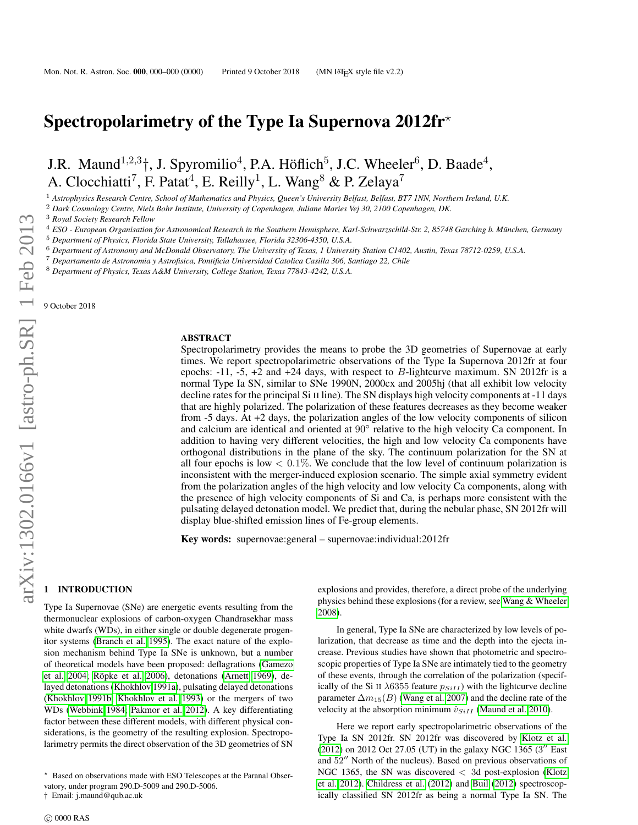# Spectropolarimetry of the Type Ia Supernova  $2012 \text{fr}^*$

## J.R. Maund<sup>1,2,3</sup>†, J. Spyromilio<sup>4</sup>, P.A. Höflich<sup>5</sup>, J.C. Wheeler<sup>6</sup>, D. Baade<sup>4</sup>, A. Clocchiatti<sup>7</sup>, F. Patat<sup>4</sup>, E. Reilly<sup>1</sup>, L. Wang<sup>8</sup> & P. Zelaya<sup>7</sup>

<sup>1</sup> *Astrophysics Research Centre, School of Mathematics and Physics, Queen's University Belfast, Belfast, BT7 1NN, Northern Ireland, U.K.*

<sup>2</sup> *Dark Cosmology Centre, Niels Bohr Institute, University of Copenhagen, Juliane Maries Vej 30, 2100 Copenhagen, DK.*

<sup>3</sup> *Royal Society Research Fellow*

<sup>4</sup> *ESO - European Organisation for Astronomical Research in the Southern Hemisphere, Karl-Schwarzschild-Str. 2, 85748 Garching b. Munchen, Germany ¨*

<sup>5</sup> *Department of Physics, Florida State University, Tallahassee, Florida 32306-4350, U.S.A.*

<sup>6</sup> *Department of Astronomy and McDonald Observatory, The University of Texas, 1 University Station C1402, Austin, Texas 78712-0259, U.S.A.*

<sup>8</sup> *Department of Physics, Texas A&M University, College Station, Texas 77843-4242, U.S.A.*

9 October 2018

### ABSTRACT

Spectropolarimetry provides the means to probe the 3D geometries of Supernovae at early times. We report spectropolarimetric observations of the Type Ia Supernova 2012fr at four epochs:  $-11$ ,  $-5$ ,  $+2$  and  $+24$  days, with respect to *B*-lightcurve maximum. SN 2012fr is a normal Type Ia SN, similar to SNe 1990N, 2000cx and 2005hj (that all exhibit low velocity decline rates for the principal Si II line). The SN displays high velocity components at -11 days that are highly polarized. The polarization of these features decreases as they become weaker from -5 days. At +2 days, the polarization angles of the low velocity components of silicon and calcium are identical and oriented at 90° relative to the high velocity Ca component. In addition to having very different velocities, the high and low velocity Ca components have orthogonal distributions in the plane of the sky. The continuum polarization for the SN at all four epochs is low  $\lt$  0.1%. We conclude that the low level of continuum polarization is inconsistent with the merger-induced explosion scenario. The simple axial symmetry evident from the polarization angles of the high velocity and low velocity Ca components, along with the presence of high velocity components of Si and Ca, is perhaps more consistent with the pulsating delayed detonation model. We predict that, during the nebular phase, SN 2012fr will display blue-shifted emission lines of Fe-group elements.

Key words: supernovae:general – supernovae:individual:2012fr

## 1 INTRODUCTION

Type Ia Supernovae (SNe) are energetic events resulting from the thermonuclear explosions of carbon-oxygen Chandrasekhar mass white dwarfs (WDs), in either single or double degenerate progenitor systems [\(Branch et al. 1995\)](#page-4-0). The exact nature of the explosion mechanism behind Type Ia SNe is unknown, but a number of theoretical models have been proposed: deflagrations [\(Gamezo](#page-4-1) [et al. 2004;](#page-4-1) Röpke et al. 2006), detonations [\(Arnett 1969\)](#page-4-3), delayed detonations [\(Khokhlov 1991a\)](#page-4-4), pulsating delayed detonations [\(Khokhlov 1991b;](#page-4-5) [Khokhlov et al. 1993\)](#page-4-6) or the mergers of two WDs [\(Webbink 1984;](#page-4-7) [Pakmor et al. 2012\)](#page-4-8). A key differentiating factor between these different models, with different physical considerations, is the geometry of the resulting explosion. Spectropolarimetry permits the direct observation of the 3D geometries of SN explosions and provides, therefore, a direct probe of the underlying physics behind these explosions (for a review, see [Wang & Wheeler](#page-4-9) [2008\)](#page-4-9).

In general, Type Ia SNe are characterized by low levels of polarization, that decrease as time and the depth into the ejecta increase. Previous studies have shown that photometric and spectroscopic properties of Type Ia SNe are intimately tied to the geometry of these events, through the correlation of the polarization (specifically of the Si II  $\lambda$ 6355 feature  $p_{SiII}$ ) with the lightcurve decline parameter  $\Delta m_{15}(B)$  [\(Wang et al. 2007\)](#page-4-10) and the decline rate of the velocity at the absorption minimum  $\dot{v}_{SiII}$  [\(Maund et al. 2010\)](#page-4-11).

Here we report early spectropolarimetric observations of the Type Ia SN 2012fr. SN 2012fr was discovered by [Klotz et al.](#page-4-12) [\(2012\)](#page-4-12) on 2012 Oct 27.05 (UT) in the galaxy NGC 1365 (3" East and  $52^{\prime\prime}$  North of the nucleus). Based on previous observations of NGC 1365, the SN was discovered < 3d post-explosion [\(Klotz](#page-4-12) [et al. 2012\)](#page-4-12). [Childress et al.](#page-4-13) [\(2012\)](#page-4-13) and [Buil](#page-4-14) [\(2012\)](#page-4-14) spectroscopically classified SN 2012fr as being a normal Type Ia SN. The

<sup>7</sup> *Departamento de Astronomia y Astrofisica, Pontificia Universidad Catolica Casilla 306, Santiago 22, Chile*

<sup>?</sup> Based on observations made with ESO Telescopes at the Paranal Observatory, under program 290.D-5009 and 290.D-5006.

<sup>†</sup> Email: j.maund@qub.ac.uk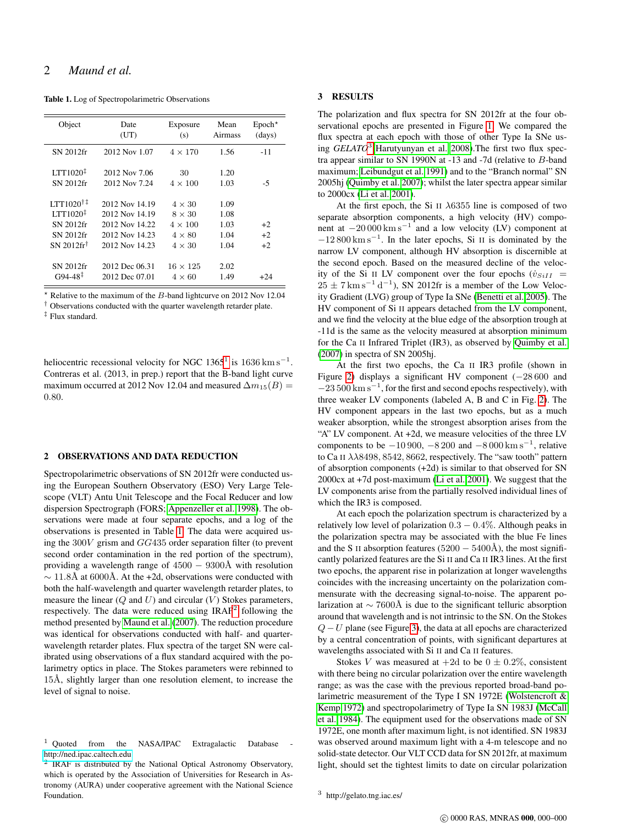<span id="page-1-1"></span>Table 1. Log of Spectropolarimetric Observations

| Object                                                                                                   | Date                                                                                   | Exposure                                                                           | Mean                                 | $Epoch*$             |
|----------------------------------------------------------------------------------------------------------|----------------------------------------------------------------------------------------|------------------------------------------------------------------------------------|--------------------------------------|----------------------|
|                                                                                                          | (UT)                                                                                   | (s)                                                                                | Airmass                              | (days)               |
| SN 2012fr                                                                                                | 2012 Nov 1.07                                                                          | $4 \times 170$                                                                     | 1.56                                 | -11                  |
| $LTT1020^{\ddagger}$                                                                                     | 2012 Nov 7.06                                                                          | 30                                                                                 | 1.20                                 | -5                   |
| SN 2012fr                                                                                                | 2012 Nov 7.24                                                                          | $4 \times 100$                                                                     | 1.03                                 |                      |
| LTT1020 <sup>†‡</sup><br>$LTT1020^{\ddagger}$<br>SN 2012fr<br>SN 2012fr<br>$SN 2012 \text{fr}^{\dagger}$ | 2012 Nov 14.19<br>2012 Nov 14.19<br>2012 Nov 14 22<br>2012 Nov 14.23<br>2012 Nov 14.23 | $4 \times 30$<br>$8 \times 30$<br>$4 \times 100$<br>$4 \times 80$<br>$4 \times 30$ | 1.09<br>1.08<br>1.03<br>1.04<br>1.04 | $+2$<br>$+2$<br>$+2$ |
| SN 2012fr                                                                                                | 2012 Dec 06.31                                                                         | $16 \times 125$                                                                    | 2.02                                 | +24                  |
| $G94-48^{\ddagger}$                                                                                      | 2012 Dec 07.01                                                                         | $4 \times 60$                                                                      | 1.49                                 |                      |

Relative to the maximum of the B-band lightcurve on 2012 Nov 12.04 † Observations conducted with the quarter wavelength retarder plate.

‡ Flux standard.

heliocentric recessional velocity for NGC  $1365^1$  $1365^1$  is  $1636 \text{ km s}^{-1}$ . Contreras et al. (2013, in prep.) report that the B-band light curve maximum occurred at 2012 Nov 12.04 and measured  $\Delta m_{15}(B)$  = 0.80.

#### 2 OBSERVATIONS AND DATA REDUCTION

Spectropolarimetric observations of SN 2012fr were conducted using the European Southern Observatory (ESO) Very Large Telescope (VLT) Antu Unit Telescope and the Focal Reducer and low dispersion Spectrograph (FORS; [Appenzeller et al. 1998\)](#page-4-15). The observations were made at four separate epochs, and a log of the observations is presented in Table [1.](#page-1-1) The data were acquired using the 300V grism and GG435 order separation filter (to prevent second order contamination in the red portion of the spectrum), providing a wavelength range of  $4500 - 9300$ Å with resolution  $\sim$  11.8Å at 6000Å. At the +2d, observations were conducted with both the half-wavelength and quarter wavelength retarder plates, to measure the linear  $(Q \text{ and } U)$  and circular  $(V)$  Stokes parameters, respectively. The data were reduced using IRAF<sup>[2](#page-1-2)</sup> following the method presented by [Maund et al.](#page-4-16) [\(2007\)](#page-4-16). The reduction procedure was identical for observations conducted with half- and quarterwavelength retarder plates. Flux spectra of the target SN were calibrated using observations of a flux standard acquired with the polarimetry optics in place. The Stokes parameters were rebinned to 15Å, slightly larger than one resolution element, to increase the level of signal to noise.

## 3 RESULTS

The polarization and flux spectra for SN 2012fr at the four observational epochs are presented in Figure [1.](#page-2-0) We compared the flux spectra at each epoch with those of other Type Ia SNe using *GELATO*[3](#page-1-3) [\(Harutyunyan et al. 2008\)](#page-4-17).The first two flux spectra appear similar to SN 1990N at -13 and -7d (relative to B-band maximum; [Leibundgut et al. 1991\)](#page-4-18) and to the "Branch normal" SN 2005hj [\(Quimby et al. 2007\)](#page-4-19); whilst the later spectra appear similar to 2000cx [\(Li et al. 2001\)](#page-4-20).

At the first epoch, the Si II  $\lambda$ 6355 line is composed of two separate absorption components, a high velocity (HV) component at  $-20000 \text{ km s}^{-1}$  and a low velocity (LV) component at  $-12800 \text{ km s}^{-1}$ . In the later epochs, Si II is dominated by the narrow LV component, although HV absorption is discernible at the second epoch. Based on the measured decline of the velocity of the Si II LV component over the four epochs  $(\dot{v}_{SiII}$  =  $25 \pm 7 \,\mathrm{km \, s^{-1} \, d^{-1}}$ ), SN 2012fr is a member of the Low Velocity Gradient (LVG) group of Type Ia SNe [\(Benetti et al. 2005\)](#page-4-21). The HV component of Si II appears detached from the LV component, and we find the velocity at the blue edge of the absorption trough at -11d is the same as the velocity measured at absorption minimum for the Ca II Infrared Triplet (IR3), as observed by [Quimby et al.](#page-4-19) [\(2007\)](#page-4-19) in spectra of SN 2005hj.

At the first two epochs, the Ca II IR3 profile (shown in Figure [2\)](#page-3-0) displays a significant HV component (−28 600 and  $-23500 \text{ km s}^{-1}$ , for the first and second epochs respectively), with three weaker LV components (labeled A, B and C in Fig. [2\)](#page-3-0). The HV component appears in the last two epochs, but as a much weaker absorption, while the strongest absorption arises from the "A" LV component. At +2d, we measure velocities of the three LV components to be  $-10900, -8200$  and  $-8000$  km s<sup>-1</sup>, relative to Ca II  $\lambda\lambda8498, 8542, 8662$ , respectively. The "saw tooth" pattern of absorption components (+2d) is similar to that observed for SN 2000cx at +7d post-maximum [\(Li et al. 2001\)](#page-4-20). We suggest that the LV components arise from the partially resolved individual lines of which the IR3 is composed.

At each epoch the polarization spectrum is characterized by a relatively low level of polarization  $0.3 - 0.4\%$ . Although peaks in the polarization spectra may be associated with the blue Fe lines and the S II absorption features ( $5200 - 5400$ Å), the most significantly polarized features are the Si II and Ca II IR3 lines. At the first two epochs, the apparent rise in polarization at longer wavelengths coincides with the increasing uncertainty on the polarization commensurate with the decreasing signal-to-noise. The apparent polarization at  $\sim$  7600Å is due to the significant telluric absorption around that wavelength and is not intrinsic to the SN. On the Stokes  $Q-U$  plane (see Figure [3\)](#page-3-1), the data at all epochs are characterized by a central concentration of points, with significant departures at wavelengths associated with Si II and Ca II features.

Stokes V was measured at  $+2d$  to be  $0 \pm 0.2\%$ , consistent with there being no circular polarization over the entire wavelength range; as was the case with the previous reported broad-band polarimetric measurement of the Type I SN 1972E [\(Wolstencroft &](#page-4-22) [Kemp 1972\)](#page-4-22) and spectropolarimetry of Type Ia SN 1983J [\(McCall](#page-4-23) [et al. 1984\)](#page-4-23). The equipment used for the observations made of SN 1972E, one month after maximum light, is not identified. SN 1983J was observed around maximum light with a 4-m telescope and no solid-state detector. Our VLT CCD data for SN 2012fr, at maximum light, should set the tightest limits to date on circular polarization

<span id="page-1-3"></span><sup>3</sup> http://gelato.tng.iac.es/

<span id="page-1-0"></span> $1$  Quoted from the NASA/IPAC Extragalactic Database <http://ned.ipac.caltech.edu>

<span id="page-1-2"></span><sup>&</sup>lt;sup>2</sup> IRAF is distributed by the National Optical Astronomy Observatory, which is operated by the Association of Universities for Research in Astronomy (AURA) under cooperative agreement with the National Science Foundation.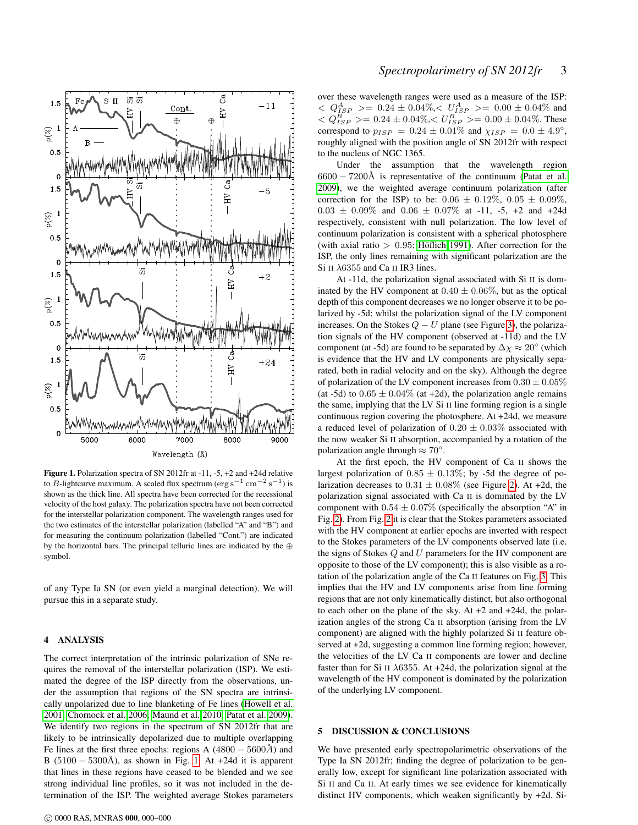

<span id="page-2-0"></span>Figure 1. Polarization spectra of SN 2012fr at -11, -5, +2 and +24d relative to B-lightcurve maximum. A scaled flux spectrum ( $\text{erg s}^{-1} \text{ cm}^{-2} \text{ s}^{-1}$ ) is shown as the thick line. All spectra have been corrected for the recessional velocity of the host galaxy. The polarization spectra have not been corrected for the interstellar polarization component. The wavelength ranges used for the two estimates of the interstellar polarization (labelled "A" and "B") and for measuring the continuum polarization (labelled "Cont.") are indicated by the horizontal bars. The principal telluric lines are indicated by the ⊕ symbol.

of any Type Ia SN (or even yield a marginal detection). We will pursue this in a separate study.

## 4 ANALYSIS

The correct interpretation of the intrinsic polarization of SNe requires the removal of the interstellar polarization (ISP). We estimated the degree of the ISP directly from the observations, under the assumption that regions of the SN spectra are intrinsically unpolarized due to line blanketing of Fe lines [\(Howell et al.](#page-4-24) [2001;](#page-4-24) [Chornock et al. 2006;](#page-4-25) [Maund et al. 2010;](#page-4-26) [Patat et al. 2009\)](#page-4-27). We identify two regions in the spectrum of SN 2012fr that are likely to be intrinsically depolarized due to multiple overlapping Fe lines at the first three epochs: regions A  $(4800 - 5600\text{\AA})$  and B ( $5100 - 5300$ Å), as shown in Fig. [1.](#page-2-0) At +24d it is apparent that lines in these regions have ceased to be blended and we see strong individual line profiles, so it was not included in the determination of the ISP. The weighted average Stokes parameters over these wavelength ranges were used as a measure of the ISP:  $\langle Q_{ISP}^A \rangle = 0.24 \pm 0.04\%, \langle U_{ISP}^A \rangle = 0.00 \pm 0.04\%$  and  $\langle Q_{ISP}^B \rangle = 0.24 \pm 0.04\%, \langle U_{ISP}^B \rangle = 0.00 \pm 0.04\%.$  These correspond to  $p_{ISP} = 0.24 \pm 0.01\%$  and  $\chi_{ISP} = 0.0 \pm 4.9^\circ$ , roughly aligned with the position angle of SN 2012fr with respect to the nucleus of NGC 1365.

Under the assumption that the wavelength region 6600 − 7200A˚ is representative of the continuum [\(Patat et al.](#page-4-27) [2009\)](#page-4-27), we the weighted average continuum polarization (after correction for the ISP) to be:  $0.06 \pm 0.12\%$ ,  $0.05 \pm 0.09\%$ ,  $0.03 \pm 0.09\%$  and  $0.06 \pm 0.07\%$  at -11, -5, +2 and +24d respectively, consistent with null polarization. The low level of continuum polarization is consistent with a spherical photosphere (with axial ratio  $> 0.95$ ; Höflich 1991). After correction for the ISP, the only lines remaining with significant polarization are the Si II λ6355 and Ca II IR3 lines.

At -11d, the polarization signal associated with Si II is dominated by the HV component at  $0.40 \pm 0.06\%$ , but as the optical depth of this component decreases we no longer observe it to be polarized by -5d; whilst the polarization signal of the LV component increases. On the Stokes  $Q - U$  plane (see Figure [3\)](#page-3-1), the polarization signals of the HV component (observed at -11d) and the LV component (at -5d) are found to be separated by  $\Delta \chi \approx 20^{\circ}$  (which is evidence that the HV and LV components are physically separated, both in radial velocity and on the sky). Although the degree of polarization of the LV component increases from  $0.30 \pm 0.05\%$ (at -5d) to  $0.65 \pm 0.04\%$  (at +2d), the polarization angle remains the same, implying that the LV Si II line forming region is a single continuous region covering the photosphere. At +24d, we measure a reduced level of polarization of  $0.20 \pm 0.03\%$  associated with the now weaker Si II absorption, accompanied by a rotation of the polarization angle through  $\approx 70^{\circ}$ .

At the first epoch, the HV component of Ca II shows the largest polarization of  $0.85 \pm 0.13\%$ ; by -5d the degree of polarization decreases to  $0.31 \pm 0.08\%$  (see Figure [2\)](#page-3-0). At +2d, the polarization signal associated with Ca II is dominated by the LV component with  $0.54 \pm 0.07\%$  (specifically the absorption "A" in Fig. [2\)](#page-3-0). From Fig. [2](#page-3-0) it is clear that the Stokes parameters associated with the HV component at earlier epochs are inverted with respect to the Stokes parameters of the LV components observed late (i.e. the signs of Stokes  $Q$  and  $U$  parameters for the HV component are opposite to those of the LV component); this is also visible as a rotation of the polarization angle of the Ca II features on Fig. [3.](#page-3-1) This implies that the HV and LV components arise from line forming regions that are not only kinematically distinct, but also orthogonal to each other on the plane of the sky. At +2 and +24d, the polarization angles of the strong Ca II absorption (arising from the LV component) are aligned with the highly polarized Si II feature observed at +2d, suggesting a common line forming region; however, the velocities of the LV Ca II components are lower and decline faster than for Si II  $\lambda$ 6355. At +24d, the polarization signal at the wavelength of the HV component is dominated by the polarization of the underlying LV component.

#### 5 DISCUSSION & CONCLUSIONS

We have presented early spectropolarimetric observations of the Type Ia SN 2012fr; finding the degree of polarization to be generally low, except for significant line polarization associated with Si II and Ca II. At early times we see evidence for kinematically distinct HV components, which weaken significantly by +2d. Si-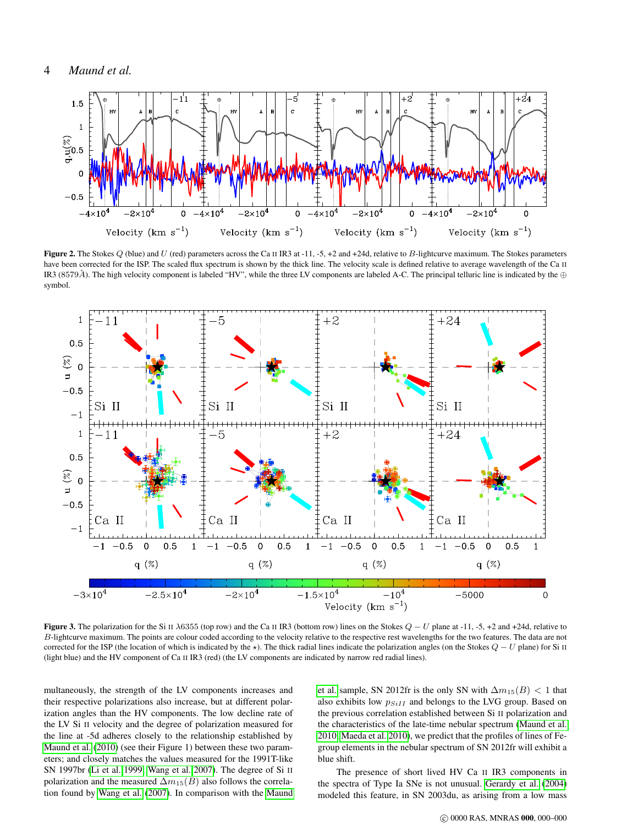

<span id="page-3-0"></span>Figure 2. The Stokes Q (blue) and U (red) parameters across the Ca II IR3 at -11, -5, +2 and +24d, relative to B-lightcurve maximum. The Stokes parameters have been corrected for the ISP. The scaled flux spectrum is shown by the thick line. The velocity scale is defined relative to average wavelength of the Ca II IR3 (8579Å). The high velocity component is labeled "HV", while the three LV components are labeled A-C. The principal telluric line is indicated by the ⊕ symbol.



<span id="page-3-1"></span>**Figure 3.** The polarization for the Si II  $\lambda$ 6355 (top row) and the Ca II IR3 (bottom row) lines on the Stokes  $Q - U$  plane at -11, -5, +2 and +24d, relative to B-lightcurve maximum. The points are colour coded according to the velocity relative to the respective rest wavelengths for the two features. The data are not corrected for the ISP (the location of which is indicated by the  $\star$ ). The thick radial lines indicate the polarization angles (on the Stokes  $Q - U$  plane) for Si II (light blue) and the HV component of Ca II IR3 (red) (the LV components are indicated by narrow red radial lines).

multaneously, the strength of the LV components increases and their respective polarizations also increase, but at different polarization angles than the HV components. The low decline rate of the LV Si II velocity and the degree of polarization measured for the line at -5d adheres closely to the relationship established by [Maund et al.](#page-4-11) [\(2010\)](#page-4-11) (see their Figure 1) between these two parameters; and closely matches the values measured for the 1991T-like SN 1997br [\(Li et al. 1999;](#page-4-29) [Wang et al. 2007\)](#page-4-10). The degree of Si II polarization and the measured  $\Delta m_{15}(B)$  also follows the correlation found by [Wang et al.](#page-4-10) [\(2007\)](#page-4-10). In comparison with the [Maund](#page-4-11) [et al.](#page-4-11) sample, SN 2012fr is the only SN with  $\Delta m_{15}(B) < 1$  that also exhibits low  $p_{SiII}$  and belongs to the LVG group. Based on the previous correlation established between Si II polarization and the characteristics of the late-time nebular spectrum [\(Maund et al.](#page-4-11) [2010;](#page-4-11) [Maeda et al. 2010\)](#page-4-30), we predict that the profiles of lines of Fegroup elements in the nebular spectrum of SN 2012fr will exhibit a blue shift.

The presence of short lived HV Ca II IR3 components in the spectra of Type Ia SNe is not unusual. [Gerardy et al.](#page-4-31) [\(2004\)](#page-4-31) modeled this feature, in SN 2003du, as arising from a low mass